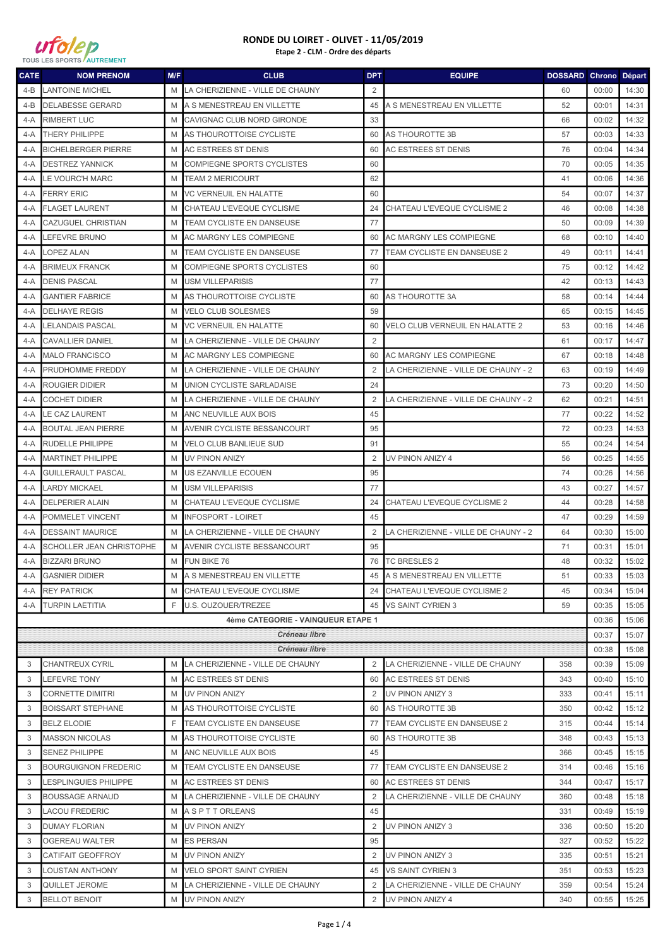

| <b>CATE</b>   | <b>NOM PRENOM</b>            | M/F | <b>CLUB</b>                        | <b>DPT</b>     | <b>EQUIPE</b>                        | <b>DOSSARD Chrono Départ</b> |       |       |
|---------------|------------------------------|-----|------------------------------------|----------------|--------------------------------------|------------------------------|-------|-------|
| 4-B           | LANTOINE MICHEL              | M   | LA CHERIZIENNE - VILLE DE CHAUNY   | 2              |                                      | 60                           | 00:00 | 14:30 |
| $4-B$         | <b>DELABESSE GERARD</b>      | M   | A S MENESTREAU EN VILLETTE         | 45             | A S MENESTREAU EN VILLETTE           | 52                           | 00:01 | 14:31 |
| $4-A$         | <b>RIMBERT LUC</b>           | M   | CAVIGNAC CLUB NORD GIRONDE         | 33             |                                      | 66                           | 00:02 | 14:32 |
| 4-A           | <b>THERY PHILIPPE</b>        | M   | AS THOUROTTOISE CYCLISTE           | 60             | AS THOUROTTE 3B                      | 57                           | 00:03 | 14:33 |
| $4-A$         | <b>BICHELBERGER PIERRE</b>   | M   | AC ESTREES ST DENIS                | 60             | <b>AC ESTREES ST DENIS</b>           | 76                           | 00:04 | 14:34 |
| 4-A           | <b>DESTREZ YANNICK</b>       | M   | <b>COMPIEGNE SPORTS CYCLISTES</b>  | 60             |                                      | 70                           | 00:05 | 14:35 |
| 4-A           | <b>LE VOURC'H MARC</b>       | M   | <b>TEAM 2 MERICOURT</b>            | 62             |                                      | 41                           | 00:06 | 14:36 |
| 4-A           | <b>FERRY ERIC</b>            | M   | VC VERNEUIL EN HALATTE             | 60             |                                      | 54                           | 00:07 | 14:37 |
| 4-A           | <b>FLAGET LAURENT</b>        | M   | CHATEAU L'EVEQUE CYCLISME          | 24             | CHATEAU L'EVEQUE CYCLISME 2          | 46                           | 00:08 | 14:38 |
| 4-A           | <b>CAZUGUEL CHRISTIAN</b>    | M   | TEAM CYCLISTE EN DANSEUSE          | 77             |                                      | 50                           | 00:09 | 14:39 |
| 4-A           | LEFEVRE BRUNO                | M   | AC MARGNY LES COMPIEGNE            | 60             | AC MARGNY LES COMPIEGNE              | 68                           | 00:10 | 14:40 |
| 4-A           | LOPEZ ALAN                   | M   | TEAM CYCLISTE EN DANSEUSE          | 77             | TEAM CYCLISTE EN DANSEUSE 2          | 49                           | 00:11 | 14:41 |
| 4-A           | <b>BRIMEUX FRANCK</b>        | M   | <b>COMPIEGNE SPORTS CYCLISTES</b>  | 60             |                                      | 75                           | 00:12 | 14:42 |
| $4-A$         | <b>DENIS PASCAL</b>          | M   | <b>USM VILLEPARISIS</b>            | 77             |                                      | 42                           | 00:13 | 14:43 |
| 4-A           | <b>GANTIER FABRICE</b>       | M   | AS THOUROTTOISE CYCLISTE           | 60             | AS THOUROTTE 3A                      | 58                           | 00:14 | 14:44 |
| $4-A$         | <b>DELHAYE REGIS</b>         | M   | <b>VELO CLUB SOLESMES</b>          | 59             |                                      | 65                           | 00:15 | 14:45 |
| 4-A           | LELANDAIS PASCAL             | M   | <b>VC VERNEUIL EN HALATTE</b>      | 60             | VELO CLUB VERNEUIL EN HALATTE 2      | 53                           | 00:16 | 14:46 |
| 4-A           | <b>CAVALLIER DANIEL</b>      | M   | LA CHERIZIENNE - VILLE DE CHAUNY   | 2              |                                      | 61                           | 00:17 | 14:47 |
| 4-A           | <b>MALO FRANCISCO</b>        | M   | AC MARGNY LES COMPIEGNE            | 60             | <b>AC MARGNY LES COMPIEGNE</b>       | 67                           | 00:18 | 14:48 |
| 4-A           | PRUDHOMME FREDDY             | M   | LA CHERIZIENNE - VILLE DE CHAUNY   | 2              | LA CHERIZIENNE - VILLE DE CHAUNY - 2 | 63                           | 00:19 | 14:49 |
| 4-A           | <b>ROUGIER DIDIER</b>        | M   | UNION CYCLISTE SARLADAISE          | 24             |                                      | 73                           | 00:20 | 14:50 |
| 4-A           | <b>COCHET DIDIER</b>         | M   | LA CHERIZIENNE - VILLE DE CHAUNY   | 2              | LA CHERIZIENNE - VILLE DE CHAUNY - 2 | 62                           | 00:21 | 14:51 |
| 4-A           | LE CAZ LAURENT               | M   | ANC NEUVILLE AUX BOIS              | 45             |                                      | 77                           | 00:22 | 14:52 |
| 4-A           | <b>BOUTAL JEAN PIERRE</b>    | M   | <b>AVENIR CYCLISTE BESSANCOURT</b> | 95             |                                      | 72                           | 00:23 | 14:53 |
| $4-A$         | RUDELLE PHILIPPE             | M   | <b>VELO CLUB BANLIEUE SUD</b>      | 91             |                                      | 55                           | 00:24 | 14:54 |
| 4-A           | <b>MARTINET PHILIPPE</b>     | M   | <b>UV PINON ANIZY</b>              | $\overline{2}$ | UV PINON ANIZY 4                     | 56                           | 00:25 | 14:55 |
| $4-A$         | <b>GUILLERAULT PASCAL</b>    | M   | US EZANVILLE ECOUEN                | 95             |                                      | 74                           | 00:26 | 14:56 |
| 4-A           | <b>LARDY MICKAEL</b>         | M   | <b>USM VILLEPARISIS</b>            | 77             |                                      | 43                           | 00:27 | 14:57 |
| 4-A           | <b>DELPERIER ALAIN</b>       | M   | CHATEAU L'EVEQUE CYCLISME          | 24             | CHATEAU L'EVEQUE CYCLISME 2          | 44                           | 00:28 | 14:58 |
| 4-A           | POMMELET VINCENT             | M   | <b>INFOSPORT - LOIRET</b>          | 45             |                                      | 47                           | 00:29 | 14:59 |
| 4-A           | <b>DESSAINT MAURICE</b>      | M   | LA CHERIZIENNE - VILLE DE CHAUNY   | 2              | LA CHERIZIENNE - VILLE DE CHAUNY - 2 | 64                           | 00:30 | 15:00 |
| 4-A           | SCHOLLER JEAN CHRISTOPHE     | M   | AVENIR CYCLISTE BESSANCOURT        | 95             |                                      | 71                           | 00:31 | 15:01 |
| 4-A           | <b>BIZZARI BRUNO</b>         | M   | FUN BIKE 76                        | 76             | <b>TC BRESLES 2</b>                  | 48                           | 00:32 | 15:02 |
|               | 4-A GASNIER DIDIER           |     | M A S MENESTREAU EN VILLETTE       |                | 45 A S MENESTREAU EN VILLETTE        | 51                           | 00:33 | 15:03 |
|               | 4-A REY PATRICK              | M   | CHATEAU L'EVEQUE CYCLISME          | 24             | CHATEAU L'EVEQUE CYCLISME 2          | 45                           | 00:34 | 15:04 |
|               | 4-A TURPIN LAETITIA          | F   | U.S. OUZOUER/TREZEE                | 45             | <b>VS SAINT CYRIEN 3</b>             | 59                           | 00:35 | 15:05 |
|               |                              |     | 4ème CATEGORIE - VAINQUEUR ETAPE 1 |                |                                      |                              | 00:36 | 15:06 |
|               |                              |     | Créneau libre                      |                |                                      |                              | 00:37 | 15:07 |
| Créneau libre |                              |     |                                    |                |                                      |                              | 00:38 | 15:08 |
| 3             | <b>CHANTREUX CYRIL</b>       | M   | LA CHERIZIENNE - VILLE DE CHAUNY   | 2              | LA CHERIZIENNE - VILLE DE CHAUNY     | 358                          | 00:39 | 15:09 |
| 3             | <b>LEFEVRE TONY</b>          | M   | <b>AC ESTREES ST DENIS</b>         | 60             | AC ESTREES ST DENIS                  | 343                          | 00:40 | 15:10 |
| 3             | <b>CORNETTE DIMITRI</b>      | M   | <b>UV PINON ANIZY</b>              | 2              | UV PINON ANIZY 3                     | 333                          | 00:41 | 15:11 |
| 3             | <b>BOISSART STEPHANE</b>     | M   | AS THOUROTTOISE CYCLISTE           | 60             | AS THOUROTTE 3B                      | 350                          | 00:42 | 15:12 |
| 3             | <b>BELZ ELODIE</b>           | F   | TEAM CYCLISTE EN DANSEUSE          | 77             | TEAM CYCLISTE EN DANSEUSE 2          | 315                          | 00:44 | 15:14 |
| 3             | <b>MASSON NICOLAS</b>        | M   | AS THOUROTTOISE CYCLISTE           | 60             | AS THOUROTTE 3B                      | 348                          | 00:43 | 15:13 |
| 3             | <b>SENEZ PHILIPPE</b>        | M   | ANC NEUVILLE AUX BOIS              | 45             |                                      | 366                          | 00:45 | 15:15 |
| 3             | <b>BOURGUIGNON FREDERIC</b>  | M   | TEAM CYCLISTE EN DANSEUSE          | 77             | <b>TEAM CYCLISTE EN DANSEUSE 2</b>   | 314                          | 00:46 | 15:16 |
| 3             | <b>LESPLINGUIES PHILIPPE</b> | M   | AC ESTREES ST DENIS                | 60             | AC ESTREES ST DENIS                  | 344                          | 00:47 | 15:17 |
| 3             | <b>BOUSSAGE ARNAUD</b>       | M   | LA CHERIZIENNE - VILLE DE CHAUNY   | $\overline{2}$ | LA CHERIZIENNE - VILLE DE CHAUNY     | 360                          | 00:48 | 15:18 |
| 3             | <b>LACOU FREDERIC</b>        | M   | A S P T T ORLEANS                  | 45             |                                      | 331                          | 00:49 | 15:19 |
| 3             | <b>DUMAY FLORIAN</b>         | M   | UV PINON ANIZY                     | 2              | UV PINON ANIZY 3                     | 336                          | 00:50 | 15:20 |
| 3             | <b>OGEREAU WALTER</b>        | M   | <b>ES PERSAN</b>                   | 95             |                                      | 327                          | 00:52 | 15:22 |
| 3             | CATIFAIT GEOFFROY            | M   | UV PINON ANIZY                     | 2              | UV PINON ANIZY 3                     | 335                          | 00:51 | 15:21 |
| 3             | LOUSTAN ANTHONY              | M   | <b>VELO SPORT SAINT CYRIEN</b>     | 45             | <b>VS SAINT CYRIEN 3</b>             | 351                          | 00:53 | 15:23 |
| 3             | QUILLET JEROME               | M   | LA CHERIZIENNE - VILLE DE CHAUNY   | 2              | LA CHERIZIENNE - VILLE DE CHAUNY     | 359                          | 00:54 | 15:24 |
| 3             | <b>BELLOT BENOIT</b>         | M   | UV PINON ANIZY                     | $\overline{2}$ | UV PINON ANIZY 4                     | 340                          | 00:55 | 15:25 |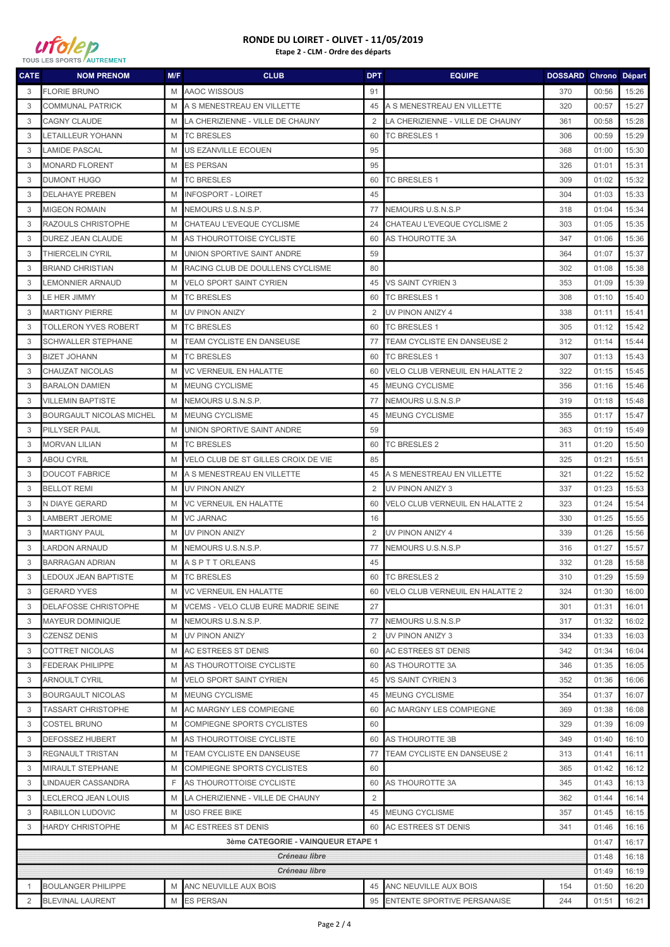

| <b>CATE</b>                        | <b>NOM PRENOM</b>               | M/F | <b>CLUB</b>                                | <b>DPT</b>     | <b>EQUIPE</b>                    | <b>DOSSARD Chrono Départ</b> |       |       |
|------------------------------------|---------------------------------|-----|--------------------------------------------|----------------|----------------------------------|------------------------------|-------|-------|
| 3                                  | <b>FLORIE BRUNO</b>             | M   | AAOC WISSOUS                               | 91             |                                  | 370                          | 00:56 | 15:26 |
| 3                                  | <b>COMMUNAL PATRICK</b>         | M   | A S MENESTREAU EN VILLETTE                 | 45             | A S MENESTREAU EN VILLETTE       | 320                          | 00:57 | 15:27 |
| 3                                  | <b>CAGNY CLAUDE</b>             | M   | LA CHERIZIENNE - VILLE DE CHAUNY           | 2              | LA CHERIZIENNE - VILLE DE CHAUNY | 361                          | 00:58 | 15:28 |
| 3                                  | LETAILLEUR YOHANN               | M   | <b>TC BRESLES</b>                          | 60             | <b>TC BRESLES 1</b>              | 306                          | 00:59 | 15:29 |
| 3                                  | <b>LAMIDE PASCAL</b>            | M   | US EZANVILLE ECOUEN                        | 95             |                                  | 368                          | 01:00 | 15:30 |
| 3                                  | <b>MONARD FLORENT</b>           | M   | <b>ES PERSAN</b>                           | 95             |                                  | 326                          | 01:01 | 15:31 |
| 3                                  | <b>DUMONT HUGO</b>              | M   | <b>TC BRESLES</b>                          | 60             | TC BRESLES 1                     | 309                          | 01:02 | 15:32 |
| 3                                  | <b>DELAHAYE PREBEN</b>          | M   | <b>INFOSPORT - LOIRET</b>                  | 45             |                                  | 304                          | 01:03 | 15:33 |
| 3                                  | <b>MIGEON ROMAIN</b>            | M   | NEMOURS U.S.N.S.P.                         | 77             | <b>INEMOURS U.S.N.S.P</b>        | 318                          | 01:04 | 15:34 |
| 3                                  | RAZOULS CHRISTOPHE              | M   | CHATEAU L'EVEQUE CYCLISME                  | 24             | CHATEAU L'EVEQUE CYCLISME 2      | 303                          | 01:05 | 15:35 |
| 3                                  | DUREZ JEAN CLAUDE               | M   | AS THOUROTTOISE CYCLISTE                   | 60             | AS THOUROTTE 3A                  | 347                          | 01:06 | 15:36 |
| 3                                  | THIERCELIN CYRIL                | M   | UNION SPORTIVE SAINT ANDRE                 | 59             |                                  | 364                          | 01:07 | 15:37 |
| 3                                  | <b>BRIAND CHRISTIAN</b>         | M   | RACING CLUB DE DOULLENS CYCLISME           | 80             |                                  | 302                          | 01:08 | 15:38 |
| 3                                  | LEMONNIER ARNAUD                | M   | <b>VELO SPORT SAINT CYRIEN</b>             | 45             | <b>VS SAINT CYRIEN 3</b>         | 353                          | 01:09 | 15:39 |
| 3                                  | LE HER JIMMY                    | M   | <b>TC BRESLES</b>                          | 60             | <b>TC BRESLES 1</b>              | 308                          | 01:10 | 15:40 |
| 3                                  | <b>MARTIGNY PIERRE</b>          | M   | UV PINON ANIZY                             | 2              | UV PINON ANIZY 4                 | 338                          | 01:11 | 15:41 |
| 3                                  | <b>TOLLERON YVES ROBERT</b>     | M   | <b>TC BRESLES</b>                          | 60             | <b>TC BRESLES 1</b>              | 305                          | 01:12 | 15:42 |
| 3                                  | <b>SCHWALLER STEPHANE</b>       | M   | TEAM CYCLISTE EN DANSEUSE                  | 77             | TEAM CYCLISTE EN DANSEUSE 2      | 312                          | 01:14 | 15:44 |
| 3                                  | <b>BIZET JOHANN</b>             | M   | <b>TC BRESLES</b>                          | 60             | <b>TC BRESLES 1</b>              | 307                          | 01:13 | 15:43 |
| 3                                  | CHAUZAT NICOLAS                 | M   | <b>VC VERNEUIL EN HALATTE</b>              | 60             | VELO CLUB VERNEUIL EN HALATTE 2  | 322                          | 01:15 | 15:45 |
| 3                                  | <b>BARALON DAMIEN</b>           | M   | <b>MEUNG CYCLISME</b>                      | 45             | MEUNG CYCLISME                   | 356                          | 01:16 | 15:46 |
| 3                                  | <b>VILLEMIN BAPTISTE</b>        | M   | NEMOURS U.S.N.S.P.                         | 77             | NEMOURS U.S.N.S.P                | 319                          | 01:18 | 15:48 |
| 3                                  | <b>BOURGAULT NICOLAS MICHEL</b> | M   | <b>MEUNG CYCLISME</b>                      | 45             | <b>MEUNG CYCLISME</b>            | 355                          | 01:17 | 15:47 |
| 3                                  | <b>PILLYSER PAUL</b>            | M   | UNION SPORTIVE SAINT ANDRE                 | 59             |                                  | 363                          | 01:19 | 15:49 |
| 3                                  | <b>MORVAN LILIAN</b>            | M   | <b>TC BRESLES</b>                          | 60             | <b>TC BRESLES 2</b>              | 311                          | 01:20 | 15:50 |
| 3                                  | <b>ABOU CYRIL</b>               | M   | VELO CLUB DE ST GILLES CROIX DE VIE        | 85             |                                  | 325                          | 01:21 | 15:51 |
| 3                                  | <b>DOUCOT FABRICE</b>           | M   | A S MENESTREAU EN VILLETTE                 | 45             | A S MENESTREAU EN VILLETTE       | 321                          | 01:22 | 15:52 |
| 3                                  | <b>BELLOT REMI</b>              | M   | <b>UV PINON ANIZY</b>                      | 2              | UV PINON ANIZY 3                 | 337                          | 01:23 | 15:53 |
| 3                                  | N DIAYE GERARD                  | M   | <b>VC VERNEUIL EN HALATTE</b>              | 60             | VELO CLUB VERNEUIL EN HALATTE 2  | 323                          | 01:24 | 15:54 |
| 3                                  | LAMBERT JEROME                  | M   | <b>VC JARNAC</b>                           | 16             |                                  | 330                          | 01:25 | 15:55 |
| 3                                  | <b>MARTIGNY PAUL</b>            | M   | <b>UV PINON ANIZY</b>                      | $\overline{2}$ | UV PINON ANIZY 4                 | 339                          | 01:26 | 15:56 |
| 3                                  | <b>LARDON ARNAUD</b>            | M   | NEMOURS U.S.N.S.P.                         | 77             | NEMOURS U.S.N.S.P                | 316                          | 01:27 | 15:57 |
| 3                                  | <b>BARRAGAN ADRIAN</b>          | M   | <b>ASPTTORLEANS</b>                        | 45             |                                  | 332                          | 01:28 | 15:58 |
| 3                                  | LEDOUX JEAN BAPTISTE            | M   | <b>TC BRESLES</b>                          |                | 60 TC BRESLES 2                  | 310                          | 01:29 | 15:59 |
| 3                                  | <b>GERARD YVES</b>              | M   | <b>VC VERNEUIL EN HALATTE</b>              | 60             | VELO CLUB VERNEUIL EN HALATTE 2  | 324                          | 01:30 | 16:00 |
| 3                                  | <b>DELAFOSSE CHRISTOPHE</b>     | M   | <b>VCEMS - VELO CLUB EURE MADRIE SEINE</b> | 27             |                                  | 301                          | 01:31 | 16:01 |
| 3                                  | <b>MAYEUR DOMINIQUE</b>         | M   | NEMOURS U.S.N.S.P.                         |                | 77 NEMOURS U.S.N.S.P             | 317                          | 01:32 | 16:02 |
| 3                                  | <b>CZENSZ DENIS</b>             | M   | <b>UV PINON ANIZY</b>                      | 2              | <b>UV PINON ANIZY 3</b>          | 334                          | 01:33 | 16:03 |
| 3                                  | <b>COTTRET NICOLAS</b>          | M   | <b>AC ESTREES ST DENIS</b>                 | 60             | <b>AC ESTREES ST DENIS</b>       | 342                          | 01:34 | 16:04 |
| 3                                  | <b>FEDERAK PHILIPPE</b>         | M   | AS THOUROTTOISE CYCLISTE                   | 60             | AS THOUROTTE 3A                  | 346                          | 01:35 | 16:05 |
| 3                                  | <b>ARNOULT CYRIL</b>            | M   | <b>VELO SPORT SAINT CYRIEN</b>             | 45             | <b>VS SAINT CYRIEN 3</b>         | 352                          | 01:36 | 16:06 |
| 3                                  | <b>BOURGAULT NICOLAS</b>        | M   | <b>MEUNG CYCLISME</b>                      | 45             | <b>MEUNG CYCLISME</b>            | 354                          | 01:37 | 16:07 |
| 3                                  | <b>TASSART CHRISTOPHE</b>       | M   | AC MARGNY LES COMPIEGNE                    | 60             | AC MARGNY LES COMPIEGNE          | 369                          | 01:38 | 16:08 |
| 3                                  | <b>COSTEL BRUNO</b>             | M   | COMPIEGNE SPORTS CYCLISTES                 | 60             |                                  | 329                          | 01:39 | 16:09 |
| 3                                  | <b>DEFOSSEZ HUBERT</b>          | M   | AS THOUROTTOISE CYCLISTE                   | 60             | AS THOUROTTE 3B                  | 349                          | 01:40 | 16:10 |
| 3                                  | <b>REGNAULT TRISTAN</b>         | M   | TEAM CYCLISTE EN DANSEUSE                  | 77             | TEAM CYCLISTE EN DANSEUSE 2      | 313                          | 01:41 | 16:11 |
| 3                                  | <b>MIRAULT STEPHANE</b>         | M   | COMPIEGNE SPORTS CYCLISTES                 | 60             |                                  | 365                          | 01:42 | 16:12 |
| 3                                  | LINDAUER CASSANDRA              | F   | AS THOUROTTOISE CYCLISTE                   | 60             | AS THOUROTTE 3A                  | 345                          | 01:43 | 16:13 |
| 3                                  | <b>LECLERCQ JEAN LOUIS</b>      | M   | LA CHERIZIENNE - VILLE DE CHAUNY           | 2              |                                  | 362                          | 01:44 | 16:14 |
| 3                                  | RABILLON LUDOVIC                | M   | <b>USO FREE BIKE</b>                       | 45             | <b>MEUNG CYCLISME</b>            | 357                          | 01:45 | 16:15 |
| 3                                  | <b>HARDY CHRISTOPHE</b>         | M   | <b>AC ESTREES ST DENIS</b>                 | 60             | AC ESTREES ST DENIS              | 341                          | 01:46 | 16:16 |
| 3ème CATEGORIE - VAINQUEUR ETAPE 1 |                                 |     |                                            |                |                                  |                              | 01:47 | 16:17 |
|                                    |                                 |     | Créneau libre                              |                |                                  |                              | 01:48 | 16:18 |
|                                    |                                 |     | Créneau libre                              |                |                                  |                              | 01:49 | 16:19 |
| -1                                 | <b>BOULANGER PHILIPPE</b>       | M   | ANC NEUVILLE AUX BOIS                      | 45             | ANC NEUVILLE AUX BOIS            | 154                          | 01:50 | 16:20 |
| 2                                  | <b>BLEVINAL LAURENT</b>         | M   | <b>ES PERSAN</b>                           |                | 95 ENTENTE SPORTIVE PERSANAISE   | 244                          | 01:51 | 16:21 |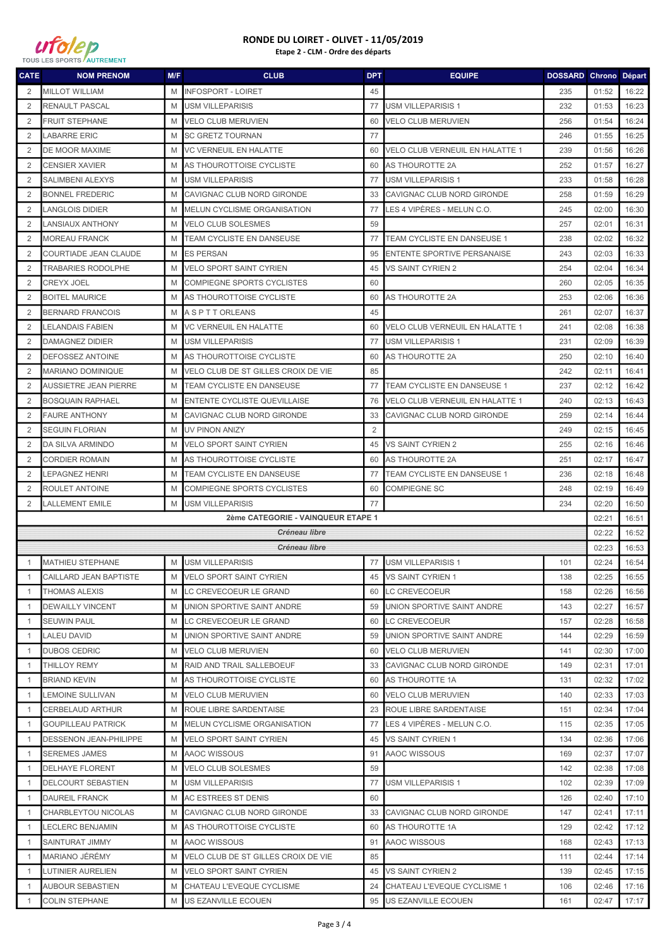

| <b>CATE</b>                        | <b>NOM PRENOM</b>            | M/F | <b>CLUB</b>                         | <b>DPT</b>     | <b>EQUIPE</b>                          | DOSSARD Chrono Départ |       |       |
|------------------------------------|------------------------------|-----|-------------------------------------|----------------|----------------------------------------|-----------------------|-------|-------|
| 2                                  | <b>MILLOT WILLIAM</b>        | M   | <b>INFOSPORT - LOIRET</b>           | 45             |                                        | 235                   | 01:52 | 16:22 |
| $\overline{2}$                     | RENAULT PASCAL               | M   | <b>USM VILLEPARISIS</b>             | 77             | <b>USM VILLEPARISIS 1</b>              | 232                   | 01:53 | 16:23 |
| 2                                  | <b>FRUIT STEPHANE</b>        | M   | <b>VELO CLUB MERUVIEN</b>           | 60             | <b>VELO CLUB MERUVIEN</b>              | 256                   | 01:54 | 16:24 |
| $\overline{2}$                     | <b>LABARRE ERIC</b>          | M   | <b>SC GRETZ TOURNAN</b>             | 77             |                                        | 246                   | 01:55 | 16:25 |
| 2                                  | DE MOOR MAXIME               | M   | <b>VC VERNEUIL EN HALATTE</b>       | 60             | VELO CLUB VERNEUIL EN HALATTE 1        | 239                   | 01:56 | 16:26 |
| $\overline{2}$                     | <b>CENSIER XAVIER</b>        | M   | AS THOUROTTOISE CYCLISTE            | 60             | AS THOUROTTE 2A                        | 252                   | 01:57 | 16:27 |
| 2                                  | <b>SALIMBENI ALEXYS</b>      | M   | <b>USM VILLEPARISIS</b>             | 77             | <b>USM VILLEPARISIS 1</b>              | 233                   | 01:58 | 16:28 |
| 2                                  | <b>BONNEL FREDERIC</b>       | M   | CAVIGNAC CLUB NORD GIRONDE          | 33             | CAVIGNAC CLUB NORD GIRONDE             | 258                   | 01:59 | 16:29 |
| $\overline{2}$                     | LANGLOIS DIDIER              | M   | MELUN CYCLISME ORGANISATION         | 77             | LES 4 VIPÈRES - MELUN C.O.             | 245                   | 02:00 | 16:30 |
| $\overline{2}$                     | <b>LANSIAUX ANTHONY</b>      | M   | <b>VELO CLUB SOLESMES</b>           | 59             |                                        | 257                   | 02:01 | 16:31 |
| 2                                  | <b>MOREAU FRANCK</b>         | M   | TEAM CYCLISTE EN DANSEUSE           | 77             | TEAM CYCLISTE EN DANSEUSE 1            | 238                   | 02:02 | 16:32 |
| 2                                  | COURTIADE JEAN CLAUDE        | M   | <b>ES PERSAN</b>                    | 95             | <b>ENTENTE SPORTIVE PERSANAISE</b>     | 243                   | 02:03 | 16:33 |
| 2                                  | <b>TRABARIES RODOLPHE</b>    | M   | <b>VELO SPORT SAINT CYRIEN</b>      | 45             | VS SAINT CYRIEN 2                      | 254                   | 02:04 | 16:34 |
| 2                                  | <b>CREYX JOEL</b>            | M   | <b>COMPIEGNE SPORTS CYCLISTES</b>   | 60             |                                        | 260                   | 02:05 | 16:35 |
| $\overline{2}$                     | <b>BOITEL MAURICE</b>        | M   | AS THOUROTTOISE CYCLISTE            | 60             | AS THOUROTTE 2A                        | 253                   | 02:06 | 16:36 |
| 2                                  | <b>BERNARD FRANCOIS</b>      | M   | A S P T T ORLEANS                   | 45             |                                        | 261                   | 02:07 | 16:37 |
| 2                                  | LELANDAIS FABIEN             | M   | <b>VC VERNEUIL EN HALATTE</b>       | 60             | <b>VELO CLUB VERNEUIL EN HALATTE 1</b> | 241                   | 02:08 | 16:38 |
| 2                                  | <b>DAMAGNEZ DIDIER</b>       | M   | <b>USM VILLEPARISIS</b>             | 77             | <b>USM VILLEPARISIS 1</b>              | 231                   | 02:09 | 16:39 |
| 2                                  | DEFOSSEZ ANTOINE             | M   | AS THOUROTTOISE CYCLISTE            | 60             | AS THOUROTTE 2A                        | 250                   | 02:10 | 16:40 |
| $\overline{2}$                     | MARIANO DOMINIQUE            | M   | VELO CLUB DE ST GILLES CROIX DE VIE | 85             |                                        | 242                   | 02:11 | 16:41 |
| $\overline{2}$                     | <b>AUSSIETRE JEAN PIERRE</b> | M   | TEAM CYCLISTE EN DANSEUSE           | 77             | TEAM CYCLISTE EN DANSEUSE 1            | 237                   | 02:12 | 16:42 |
| 2                                  | <b>BOSQUAIN RAPHAEL</b>      | M   | <b>ENTENTE CYCLISTE QUEVILLAISE</b> | 76             | VELO CLUB VERNEUIL EN HALATTE 1        | 240                   | 02:13 | 16:43 |
| 2                                  | <b>FAURE ANTHONY</b>         | M   | CAVIGNAC CLUB NORD GIRONDE          | 33             | CAVIGNAC CLUB NORD GIRONDE             | 259                   | 02:14 | 16:44 |
| 2                                  | <b>SEGUIN FLORIAN</b>        | M   | <b>UV PINON ANIZY</b>               | $\overline{2}$ |                                        | 249                   | 02:15 | 16:45 |
| $\overline{2}$                     | DA SILVA ARMINDO             | M   | <b>VELO SPORT SAINT CYRIEN</b>      | 45             | <b>VS SAINT CYRIEN 2</b>               | 255                   | 02:16 | 16:46 |
| $\overline{2}$                     | <b>CORDIER ROMAIN</b>        | M   | AS THOUROTTOISE CYCLISTE            | 60             | AS THOUROTTE 2A                        | 251                   | 02:17 | 16:47 |
| 2                                  | <b>LEPAGNEZ HENRI</b>        | M   | TEAM CYCLISTE EN DANSEUSE           | 77             | TEAM CYCLISTE EN DANSEUSE 1            | 236                   | 02:18 | 16:48 |
| 2                                  | ROULET ANTOINE               | M   | COMPIEGNE SPORTS CYCLISTES          | 60             | <b>COMPIEGNE SC</b>                    | 248                   | 02:19 | 16:49 |
| 2                                  | <b>LALLEMENT EMILE</b>       | M   | <b>USM VILLEPARISIS</b>             | 77             |                                        | 234                   | 02:20 | 16:50 |
| 2ème CATEGORIE - VAINQUEUR ETAPE 1 |                              |     |                                     |                |                                        |                       | 02:21 | 16:51 |
| Créneau libre                      |                              |     |                                     |                |                                        | 02:22                 | 16:52 |       |
|                                    |                              |     | Créneau libre                       |                |                                        |                       | 02:23 | 16:53 |
| $\overline{1}$                     | <b>MATHIEU STEPHANE</b>      | M   | <b>USM VILLEPARISIS</b>             | 77             | <b>USM VILLEPARISIS 1</b>              | 101                   | 02:24 | 16:54 |
| -1                                 | CAILLARD JEAN BAPTISTE       |     | M VELO SPORT SAINT CYRIEN           |                | 45 VS SAINT CYRIEN 1                   | 138                   | 02:25 | 16:55 |
| -1                                 | <b>THOMAS ALEXIS</b>         | M   | LC CREVECOEUR LE GRAND              | 60             | <b>LC CREVECOEUR</b>                   | 158                   | 02:26 | 16:56 |
| -1                                 | <b>DEWAILLY VINCENT</b>      | M   | UNION SPORTIVE SAINT ANDRE          | 59             | UNION SPORTIVE SAINT ANDRE             | 143                   | 02:27 | 16:57 |
| $\overline{1}$                     | <b>SEUWIN PAUL</b>           | M   | LC CREVECOEUR LE GRAND              | 60             | <b>LC CREVECOEUR</b>                   | 157                   | 02:28 | 16:58 |
| -1                                 | <b>LALEU DAVID</b>           | M   | UNION SPORTIVE SAINT ANDRE          | 59             | UNION SPORTIVE SAINT ANDRE             | 144                   | 02:29 | 16:59 |
| $\mathbf{1}$                       | <b>DUBOS CEDRIC</b>          | M   | <b>VELO CLUB MERUVIEN</b>           | 60             | <b>VELO CLUB MERUVIEN</b>              | 141                   | 02:30 | 17:00 |
| -1                                 | <b>THILLOY REMY</b>          | M   | RAID AND TRAIL SALLEBOEUF           | 33             | CAVIGNAC CLUB NORD GIRONDE             | 149                   | 02:31 | 17:01 |
| -1                                 | <b>BRIAND KEVIN</b>          | M   | AS THOUROTTOISE CYCLISTE            | 60             | AS THOUROTTE 1A                        | 131                   | 02:32 | 17:02 |
| $\overline{1}$                     | LEMOINE SULLIVAN             | M   | <b>VELO CLUB MERUVIEN</b>           | 60             | <b>VELO CLUB MERUVIEN</b>              | 140                   | 02:33 | 17:03 |
| -1                                 | <b>CERBELAUD ARTHUR</b>      | M   | ROUE LIBRE SARDENTAISE              | 23             | ROUE LIBRE SARDENTAISE                 | 151                   | 02:34 | 17:04 |
| -1                                 | <b>GOUPILLEAU PATRICK</b>    | M   | MELUN CYCLISME ORGANISATION         | 77             | LES 4 VIPÈRES - MELUN C.O.             | 115                   | 02:35 | 17:05 |
| $\overline{1}$                     | DESSENON JEAN-PHILIPPE       | M   | <b>VELO SPORT SAINT CYRIEN</b>      | 45             | VS SAINT CYRIEN 1                      | 134                   | 02:36 | 17:06 |
| -1                                 | <b>SEREMES JAMES</b>         | M   | <b>AAOC WISSOUS</b>                 | 91             | AAOC WISSOUS                           | 169                   | 02:37 | 17:07 |
| -1                                 | <b>DELHAYE FLORENT</b>       | M   | <b>VELO CLUB SOLESMES</b>           | 59             |                                        | 142                   | 02:38 | 17:08 |
| $\overline{1}$                     | DELCOURT SEBASTIEN           | M   | <b>USM VILLEPARISIS</b>             | 77             | <b>USM VILLEPARISIS 1</b>              | 102                   | 02:39 | 17:09 |
| -1                                 | <b>DAUREIL FRANCK</b>        | M   | AC ESTREES ST DENIS                 | 60             |                                        | 126                   | 02:40 | 17:10 |
| $\mathbf{1}$                       | CHARBLEYTOU NICOLAS          | M   | CAVIGNAC CLUB NORD GIRONDE          | 33             | CAVIGNAC CLUB NORD GIRONDE             | 147                   | 02:41 | 17:11 |
| -1                                 | <b>LECLERC BENJAMIN</b>      | M   | AS THOUROTTOISE CYCLISTE            | 60             | AS THOUROTTE 1A                        | 129                   | 02:42 | 17:12 |
| -1                                 | SAINTURAT JIMMY              | M   | AAOC WISSOUS                        | 91             | AAOC WISSOUS                           | 168                   | 02:43 | 17:13 |
| $\overline{1}$                     | MARIANO JÉRÉMY               | M   | VELO CLUB DE ST GILLES CROIX DE VIE | 85             |                                        | 111                   | 02:44 | 17:14 |
| $\overline{1}$                     | LUTINIER AURELIEN            | M   | <b>VELO SPORT SAINT CYRIEN</b>      | 45             | VS SAINT CYRIEN 2                      | 139                   | 02:45 | 17:15 |
| $\overline{1}$                     | <b>AUBOUR SEBASTIEN</b>      | M   | CHATEAU L'EVEQUE CYCLISME           | 24             | CHATEAU L'EVEQUE CYCLISME 1            | 106                   | 02:46 | 17:16 |
| $\overline{1}$                     | <b>COLIN STEPHANE</b>        | M   | US EZANVILLE ECOUEN                 | 95             | US EZANVILLE ECOUEN                    | 161                   | 02:47 | 17:17 |